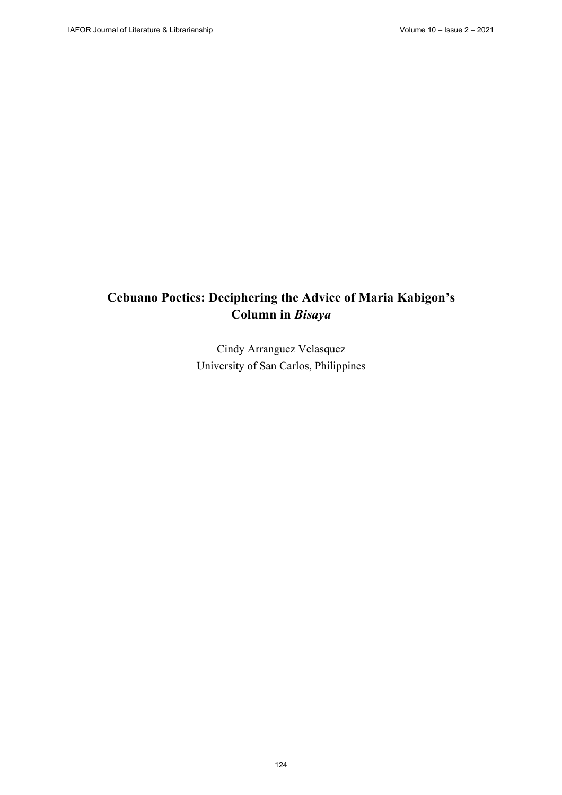# **Cebuano Poetics: Deciphering the Advice of Maria Kabigon's Column in** *Bisaya*

Cindy Arranguez Velasquez University of San Carlos, Philippines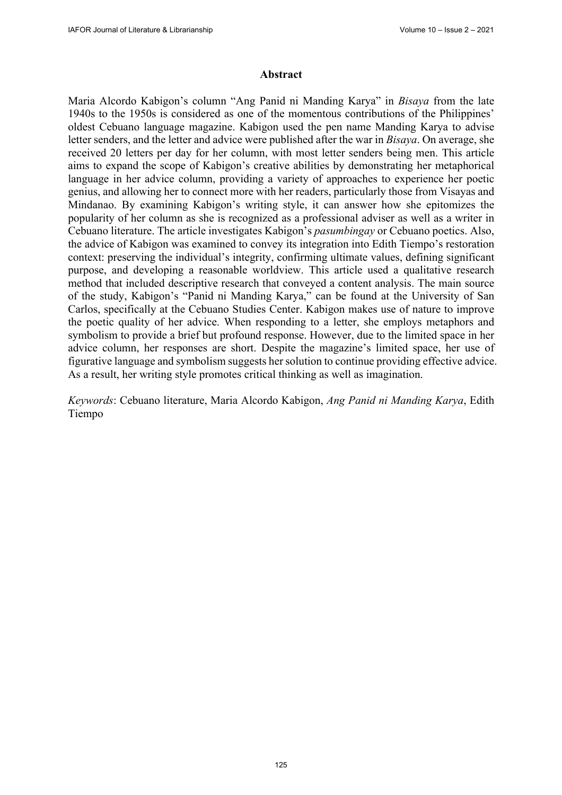### **Abstract**

Maria Alcordo Kabigon's column "Ang Panid ni Manding Karya" in *Bisaya* from the late 1940s to the 1950s is considered as one of the momentous contributions of the Philippines' oldest Cebuano language magazine. Kabigon used the pen name Manding Karya to advise letter senders, and the letter and advice were published after the war in *Bisaya*. On average, she received 20 letters per day for her column, with most letter senders being men. This article aims to expand the scope of Kabigon's creative abilities by demonstrating her metaphorical language in her advice column, providing a variety of approaches to experience her poetic genius, and allowing her to connect more with her readers, particularly those from Visayas and Mindanao. By examining Kabigon's writing style, it can answer how she epitomizes the popularity of her column as she is recognized as a professional adviser as well as a writer in Cebuano literature. The article investigates Kabigon's *pasumbingay* or Cebuano poetics. Also, the advice of Kabigon was examined to convey its integration into Edith Tiempo's restoration context: preserving the individual's integrity, confirming ultimate values, defining significant purpose, and developing a reasonable worldview. This article used a qualitative research method that included descriptive research that conveyed a content analysis. The main source of the study, Kabigon's "Panid ni Manding Karya," can be found at the University of San Carlos, specifically at the Cebuano Studies Center. Kabigon makes use of nature to improve the poetic quality of her advice. When responding to a letter, she employs metaphors and symbolism to provide a brief but profound response. However, due to the limited space in her advice column, her responses are short. Despite the magazine's limited space, her use of figurative language and symbolism suggests her solution to continue providing effective advice. As a result, her writing style promotes critical thinking as well as imagination.

*Keywords*: Cebuano literature, Maria Alcordo Kabigon, *Ang Panid ni Manding Karya*, Edith Tiempo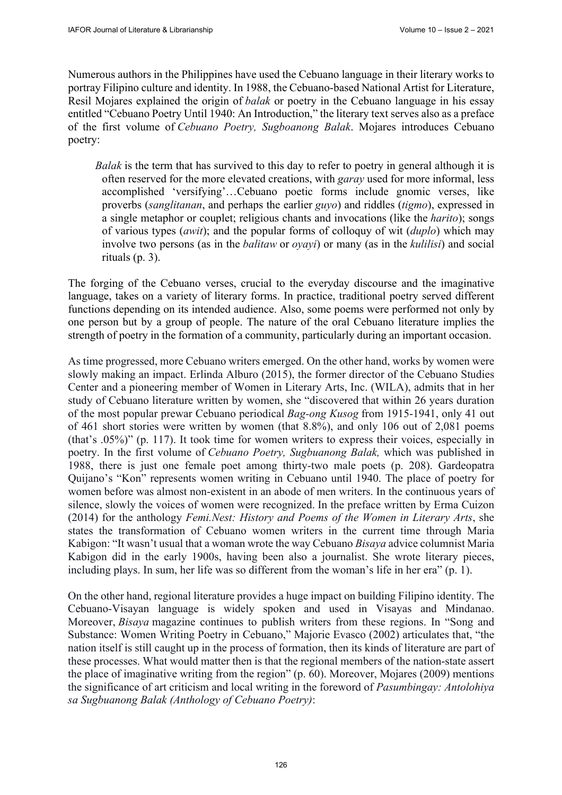Numerous authors in the Philippines have used the Cebuano language in their literary works to portray Filipino culture and identity. In 1988, the Cebuano-based National Artist for Literature, Resil Mojares explained the origin of *balak* or poetry in the Cebuano language in his essay entitled "Cebuano Poetry Until 1940: An Introduction," the literary text serves also as a preface of the first volume of *Cebuano Poetry, Sugboanong Balak*. Mojares introduces Cebuano poetry:

*Balak* is the term that has survived to this day to refer to poetry in general although it is often reserved for the more elevated creations, with *garay* used for more informal, less accomplished 'versifying'…Cebuano poetic forms include gnomic verses, like proverbs (*sanglitanan*, and perhaps the earlier *guyo*) and riddles (*tigmo*), expressed in a single metaphor or couplet; religious chants and invocations (like the *harito*); songs of various types (*awit*); and the popular forms of colloquy of wit (*duplo*) which may involve two persons (as in the *balitaw* or *oyayi*) or many (as in the *kulilisi*) and social rituals (p. 3).

The forging of the Cebuano verses, crucial to the everyday discourse and the imaginative language, takes on a variety of literary forms. In practice, traditional poetry served different functions depending on its intended audience. Also, some poems were performed not only by one person but by a group of people. The nature of the oral Cebuano literature implies the strength of poetry in the formation of a community, particularly during an important occasion.

As time progressed, more Cebuano writers emerged. On the other hand, works by women were slowly making an impact. Erlinda Alburo (2015), the former director of the Cebuano Studies Center and a pioneering member of Women in Literary Arts, Inc. (WILA), admits that in her study of Cebuano literature written by women, she "discovered that within 26 years duration of the most popular prewar Cebuano periodical *Bag-ong Kusog* from 1915-1941, only 41 out of 461 short stories were written by women (that 8.8%), and only 106 out of 2,081 poems (that's .05%)" (p. 117). It took time for women writers to express their voices, especially in poetry. In the first volume of *Cebuano Poetry, Sugbuanong Balak,* which was published in 1988, there is just one female poet among thirty-two male poets (p. 208). Gardeopatra Quijano's "Kon" represents women writing in Cebuano until 1940. The place of poetry for women before was almost non-existent in an abode of men writers. In the continuous years of silence, slowly the voices of women were recognized. In the preface written by Erma Cuizon (2014) for the anthology *Femi.Nest: History and Poems of the Women in Literary Arts*, she states the transformation of Cebuano women writers in the current time through Maria Kabigon: "It wasn't usual that a woman wrote the way Cebuano *Bisaya* advice columnist Maria Kabigon did in the early 1900s, having been also a journalist. She wrote literary pieces, including plays. In sum, her life was so different from the woman's life in her era" (p. 1).

On the other hand, regional literature provides a huge impact on building Filipino identity. The Cebuano-Visayan language is widely spoken and used in Visayas and Mindanao. Moreover, *Bisaya* magazine continues to publish writers from these regions. In "Song and Substance: Women Writing Poetry in Cebuano," Majorie Evasco (2002) articulates that, "the nation itself is still caught up in the process of formation, then its kinds of literature are part of these processes. What would matter then is that the regional members of the nation-state assert the place of imaginative writing from the region" (p. 60). Moreover, Mojares (2009) mentions the significance of art criticism and local writing in the foreword of *Pasumbingay: Antolohiya sa Sugbuanong Balak (Anthology of Cebuano Poetry)*: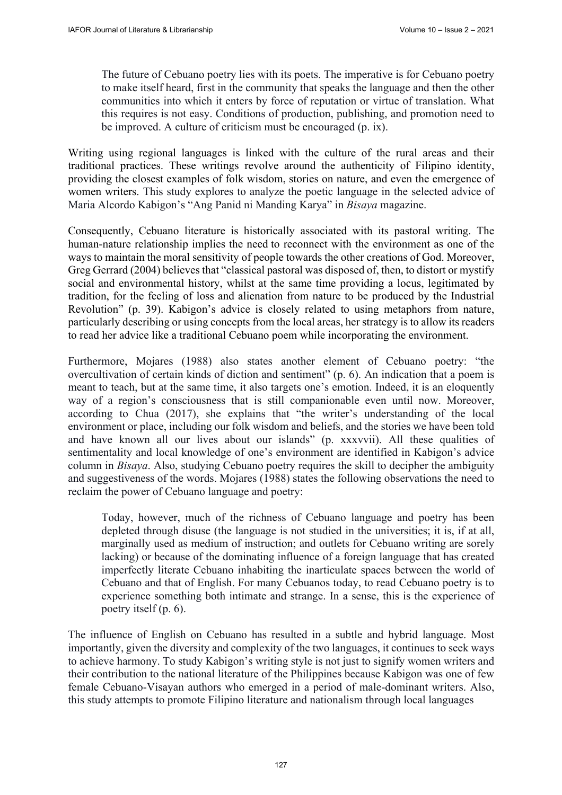The future of Cebuano poetry lies with its poets. The imperative is for Cebuano poetry to make itself heard, first in the community that speaks the language and then the other communities into which it enters by force of reputation or virtue of translation. What this requires is not easy. Conditions of production, publishing, and promotion need to be improved. A culture of criticism must be encouraged (p. ix).

Writing using regional languages is linked with the culture of the rural areas and their traditional practices. These writings revolve around the authenticity of Filipino identity, providing the closest examples of folk wisdom, stories on nature, and even the emergence of women writers. This study explores to analyze the poetic language in the selected advice of Maria Alcordo Kabigon's "Ang Panid ni Manding Karya" in *Bisaya* magazine.

Consequently, Cebuano literature is historically associated with its pastoral writing. The human-nature relationship implies the need to reconnect with the environment as one of the ways to maintain the moral sensitivity of people towards the other creations of God. Moreover, Greg Gerrard (2004) believes that "classical pastoral was disposed of, then, to distort or mystify social and environmental history, whilst at the same time providing a locus, legitimated by tradition, for the feeling of loss and alienation from nature to be produced by the Industrial Revolution" (p. 39). Kabigon's advice is closely related to using metaphors from nature, particularly describing or using concepts from the local areas, her strategy is to allow its readers to read her advice like a traditional Cebuano poem while incorporating the environment.

Furthermore, Mojares (1988) also states another element of Cebuano poetry: "the overcultivation of certain kinds of diction and sentiment" (p. 6). An indication that a poem is meant to teach, but at the same time, it also targets one's emotion. Indeed, it is an eloquently way of a region's consciousness that is still companionable even until now. Moreover, according to Chua (2017), she explains that "the writer's understanding of the local environment or place, including our folk wisdom and beliefs, and the stories we have been told and have known all our lives about our islands" (p. xxxvvii). All these qualities of sentimentality and local knowledge of one's environment are identified in Kabigon's advice column in *Bisaya*. Also, studying Cebuano poetry requires the skill to decipher the ambiguity and suggestiveness of the words. Mojares (1988) states the following observations the need to reclaim the power of Cebuano language and poetry:

Today, however, much of the richness of Cebuano language and poetry has been depleted through disuse (the language is not studied in the universities; it is, if at all, marginally used as medium of instruction; and outlets for Cebuano writing are sorely lacking) or because of the dominating influence of a foreign language that has created imperfectly literate Cebuano inhabiting the inarticulate spaces between the world of Cebuano and that of English. For many Cebuanos today, to read Cebuano poetry is to experience something both intimate and strange. In a sense, this is the experience of poetry itself (p. 6).

The influence of English on Cebuano has resulted in a subtle and hybrid language. Most importantly, given the diversity and complexity of the two languages, it continues to seek ways to achieve harmony. To study Kabigon's writing style is not just to signify women writers and their contribution to the national literature of the Philippines because Kabigon was one of few female Cebuano-Visayan authors who emerged in a period of male-dominant writers. Also, this study attempts to promote Filipino literature and nationalism through local languages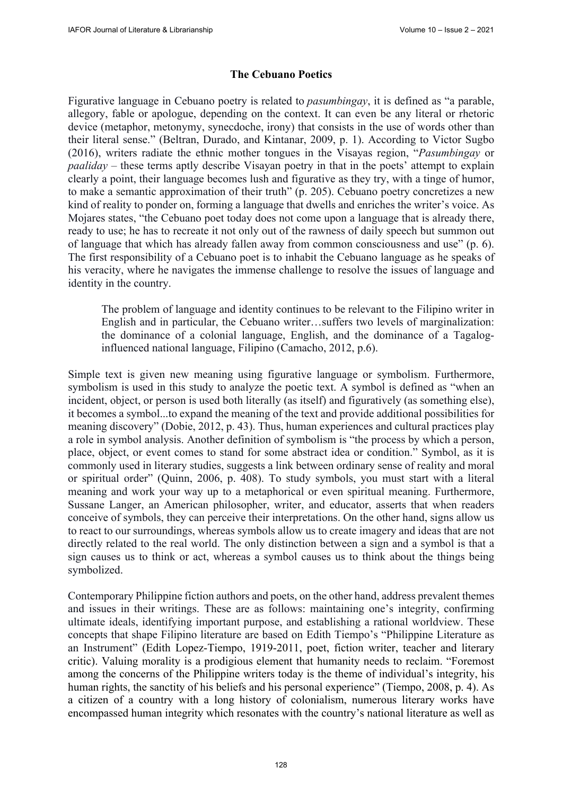## **The Cebuano Poetics**

Figurative language in Cebuano poetry is related to *pasumbingay*, it is defined as "a parable, allegory, fable or apologue, depending on the context. It can even be any literal or rhetoric device (metaphor, metonymy, synecdoche, irony) that consists in the use of words other than their literal sense." (Beltran, Durado, and Kintanar, 2009, p. 1). According to Victor Sugbo (2016), writers radiate the ethnic mother tongues in the Visayas region, "*Pasumbingay* or *paaliday* – these terms aptly describe Visayan poetry in that in the poets' attempt to explain clearly a point, their language becomes lush and figurative as they try, with a tinge of humor, to make a semantic approximation of their truth" (p. 205). Cebuano poetry concretizes a new kind of reality to ponder on, forming a language that dwells and enriches the writer's voice. As Mojares states, "the Cebuano poet today does not come upon a language that is already there, ready to use; he has to recreate it not only out of the rawness of daily speech but summon out of language that which has already fallen away from common consciousness and use" (p. 6). The first responsibility of a Cebuano poet is to inhabit the Cebuano language as he speaks of his veracity, where he navigates the immense challenge to resolve the issues of language and identity in the country.

The problem of language and identity continues to be relevant to the Filipino writer in English and in particular, the Cebuano writer…suffers two levels of marginalization: the dominance of a colonial language, English, and the dominance of a Tagaloginfluenced national language, Filipino (Camacho, 2012, p.6).

Simple text is given new meaning using figurative language or symbolism. Furthermore, symbolism is used in this study to analyze the poetic text. A symbol is defined as "when an incident, object, or person is used both literally (as itself) and figuratively (as something else), it becomes a symbol...to expand the meaning of the text and provide additional possibilities for meaning discovery" (Dobie, 2012, p. 43). Thus, human experiences and cultural practices play a role in symbol analysis. Another definition of symbolism is "the process by which a person, place, object, or event comes to stand for some abstract idea or condition." Symbol, as it is commonly used in literary studies, suggests a link between ordinary sense of reality and moral or spiritual order" (Quinn, 2006, p. 408). To study symbols, you must start with a literal meaning and work your way up to a metaphorical or even spiritual meaning. Furthermore, Sussane Langer, an American philosopher, writer, and educator, asserts that when readers conceive of symbols, they can perceive their interpretations. On the other hand, signs allow us to react to our surroundings, whereas symbols allow us to create imagery and ideas that are not directly related to the real world. The only distinction between a sign and a symbol is that a sign causes us to think or act, whereas a symbol causes us to think about the things being symbolized.

Contemporary Philippine fiction authors and poets, on the other hand, address prevalent themes and issues in their writings. These are as follows: maintaining one's integrity, confirming ultimate ideals, identifying important purpose, and establishing a rational worldview. These concepts that shape Filipino literature are based on Edith Tiempo's "Philippine Literature as an Instrument" (Edith Lopez-Tiempo, 1919-2011, poet, fiction writer, teacher and literary critic). Valuing morality is a prodigious element that humanity needs to reclaim. "Foremost among the concerns of the Philippine writers today is the theme of individual's integrity, his human rights, the sanctity of his beliefs and his personal experience" (Tiempo, 2008, p. 4). As a citizen of a country with a long history of colonialism, numerous literary works have encompassed human integrity which resonates with the country's national literature as well as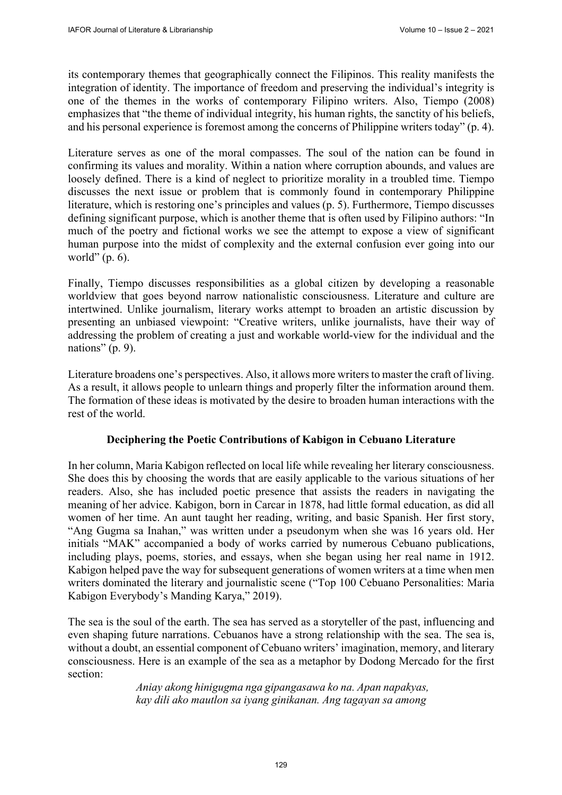its contemporary themes that geographically connect the Filipinos. This reality manifests the integration of identity. The importance of freedom and preserving the individual's integrity is one of the themes in the works of contemporary Filipino writers. Also, Tiempo (2008) emphasizes that "the theme of individual integrity, his human rights, the sanctity of his beliefs, and his personal experience is foremost among the concerns of Philippine writers today" (p. 4).

Literature serves as one of the moral compasses. The soul of the nation can be found in confirming its values and morality. Within a nation where corruption abounds, and values are loosely defined. There is a kind of neglect to prioritize morality in a troubled time. Tiempo discusses the next issue or problem that is commonly found in contemporary Philippine literature, which is restoring one's principles and values (p. 5). Furthermore, Tiempo discusses defining significant purpose, which is another theme that is often used by Filipino authors: "In much of the poetry and fictional works we see the attempt to expose a view of significant human purpose into the midst of complexity and the external confusion ever going into our world" (p. 6).

Finally, Tiempo discusses responsibilities as a global citizen by developing a reasonable worldview that goes beyond narrow nationalistic consciousness. Literature and culture are intertwined. Unlike journalism, literary works attempt to broaden an artistic discussion by presenting an unbiased viewpoint: "Creative writers, unlike journalists, have their way of addressing the problem of creating a just and workable world-view for the individual and the nations" (p. 9).

Literature broadens one's perspectives. Also, it allows more writers to master the craft of living. As a result, it allows people to unlearn things and properly filter the information around them. The formation of these ideas is motivated by the desire to broaden human interactions with the rest of the world.

# **Deciphering the Poetic Contributions of Kabigon in Cebuano Literature**

In her column, Maria Kabigon reflected on local life while revealing her literary consciousness. She does this by choosing the words that are easily applicable to the various situations of her readers. Also, she has included poetic presence that assists the readers in navigating the meaning of her advice. Kabigon, born in Carcar in 1878, had little formal education, as did all women of her time. An aunt taught her reading, writing, and basic Spanish. Her first story, "Ang Gugma sa Inahan," was written under a pseudonym when she was 16 years old. Her initials "MAK" accompanied a body of works carried by numerous Cebuano publications, including plays, poems, stories, and essays, when she began using her real name in 1912. Kabigon helped pave the way for subsequent generations of women writers at a time when men writers dominated the literary and journalistic scene ("Top 100 Cebuano Personalities: Maria Kabigon Everybody's Manding Karya," 2019).

The sea is the soul of the earth. The sea has served as a storyteller of the past, influencing and even shaping future narrations. Cebuanos have a strong relationship with the sea. The sea is, without a doubt, an essential component of Cebuano writers' imagination, memory, and literary consciousness. Here is an example of the sea as a metaphor by Dodong Mercado for the first section:

> *Aniay akong hinigugma nga gipangasawa ko na. Apan napakyas, kay dili ako mautlon sa iyang ginikanan. Ang tagayan sa among*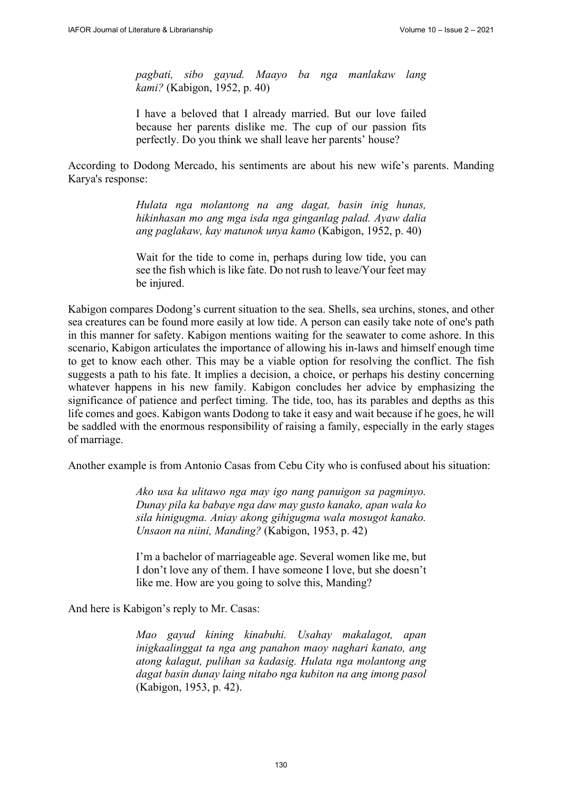*pagbati, sibo gayud. Maayo ba nga manlakaw lang kami?* (Kabigon, 1952, p. 40)

I have a beloved that I already married. But our love failed because her parents dislike me. The cup of our passion fits perfectly. Do you think we shall leave her parents' house?

According to Dodong Mercado, his sentiments are about his new wife's parents. Manding Karya's response:

> *Hulata nga molantong na ang dagat, basin inig hunas, hikinhasan mo ang mga isda nga ginganlag palad. Ayaw dalia ang paglakaw, kay matunok unya kamo* (Kabigon, 1952, p. 40)

> Wait for the tide to come in, perhaps during low tide, you can see the fish which is like fate. Do not rush to leave/Your feet may be injured.

Kabigon compares Dodong's current situation to the sea. Shells, sea urchins, stones, and other sea creatures can be found more easily at low tide. A person can easily take note of one's path in this manner for safety. Kabigon mentions waiting for the seawater to come ashore. In this scenario, Kabigon articulates the importance of allowing his in-laws and himself enough time to get to know each other. This may be a viable option for resolving the conflict. The fish suggests a path to his fate. It implies a decision, a choice, or perhaps his destiny concerning whatever happens in his new family. Kabigon concludes her advice by emphasizing the significance of patience and perfect timing. The tide, too, has its parables and depths as this life comes and goes. Kabigon wants Dodong to take it easy and wait because if he goes, he will be saddled with the enormous responsibility of raising a family, especially in the early stages of marriage.

Another example is from Antonio Casas from Cebu City who is confused about his situation:

*Ako usa ka ulitawo nga may igo nang panuigon sa pagminyo. Dunay pila ka babaye nga daw may gusto kanako, apan wala ko sila hinigugma. Aniay akong gihigugma wala mosugot kanako. Unsaon na niini, Manding?* (Kabigon, 1953, p. 42)

I'm a bachelor of marriageable age. Several women like me, but I don't love any of them. I have someone I love, but she doesn't like me. How are you going to solve this, Manding?

And here is Kabigon's reply to Mr. Casas:

*Mao gayud kining kinabuhi. Usahay makalagot, apan inigkaalinggat ta nga ang panahon maoy naghari kanato, ang atong kalagut, pulihan sa kadasig. Hulata nga molantong ang dagat basin dunay laing nitabo nga kubiton na ang imong pasol* (Kabigon, 1953, p. 42).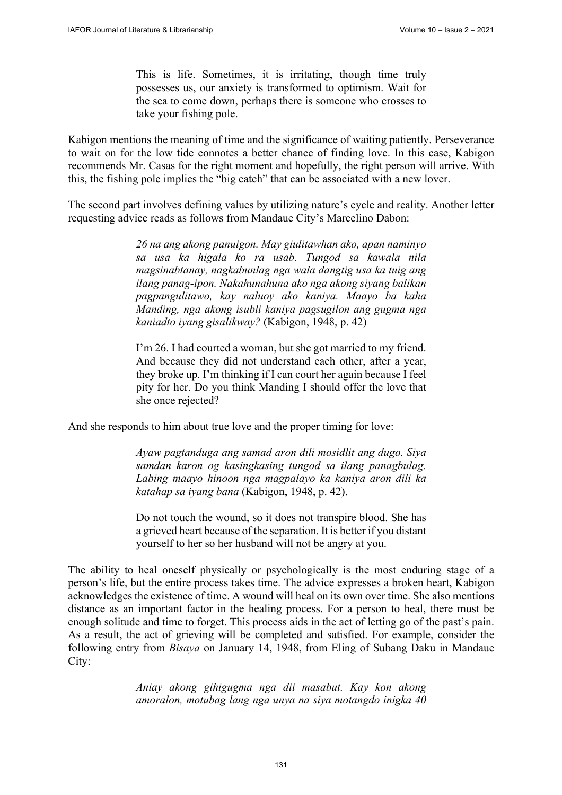This is life. Sometimes, it is irritating, though time truly possesses us, our anxiety is transformed to optimism. Wait for the sea to come down, perhaps there is someone who crosses to take your fishing pole.

Kabigon mentions the meaning of time and the significance of waiting patiently. Perseverance to wait on for the low tide connotes a better chance of finding love. In this case, Kabigon recommends Mr. Casas for the right moment and hopefully, the right person will arrive. With this, the fishing pole implies the "big catch" that can be associated with a new lover.

The second part involves defining values by utilizing nature's cycle and reality. Another letter requesting advice reads as follows from Mandaue City's Marcelino Dabon:

> *26 na ang akong panuigon. May giulitawhan ako, apan naminyo sa usa ka higala ko ra usab. Tungod sa kawala nila magsinabtanay, nagkabunlag nga wala dangtig usa ka tuig ang ilang panag-ipon. Nakahunahuna ako nga akong siyang balikan pagpangulitawo, kay naluoy ako kaniya. Maayo ba kaha Manding, nga akong isubli kaniya pagsugilon ang gugma nga kaniadto iyang gisalikway?* (Kabigon, 1948, p. 42)

> I'm 26. I had courted a woman, but she got married to my friend. And because they did not understand each other, after a year, they broke up. I'm thinking if I can court her again because I feel pity for her. Do you think Manding I should offer the love that she once rejected?

And she responds to him about true love and the proper timing for love:

*Ayaw pagtanduga ang samad aron dili mosidlit ang dugo. Siya samdan karon og kasingkasing tungod sa ilang panagbulag. Labing maayo hinoon nga magpalayo ka kaniya aron dili ka katahap sa iyang bana* (Kabigon, 1948, p. 42).

Do not touch the wound, so it does not transpire blood. She has a grieved heart because of the separation. It is better if you distant yourself to her so her husband will not be angry at you.

The ability to heal oneself physically or psychologically is the most enduring stage of a person's life, but the entire process takes time. The advice expresses a broken heart, Kabigon acknowledges the existence of time. A wound will heal on its own over time. She also mentions distance as an important factor in the healing process. For a person to heal, there must be enough solitude and time to forget. This process aids in the act of letting go of the past's pain. As a result, the act of grieving will be completed and satisfied. For example, consider the following entry from *Bisaya* on January 14, 1948, from Eling of Subang Daku in Mandaue City:

> *Aniay akong gihigugma nga dii masabut. Kay kon akong amoralon, motubag lang nga unya na siya motangdo inigka 40*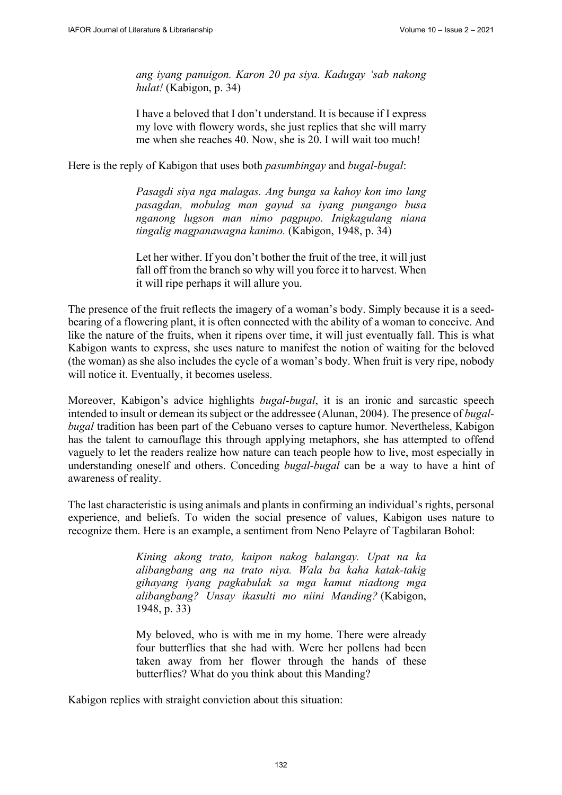*ang iyang panuigon. Karon 20 pa siya. Kadugay 'sab nakong hulat!* (Kabigon, p. 34)

I have a beloved that I don't understand. It is because if I express my love with flowery words, she just replies that she will marry me when she reaches 40. Now, she is 20. I will wait too much!

Here is the reply of Kabigon that uses both *pasumbingay* and *bugal-bugal*:

*Pasagdi siya nga malagas. Ang bunga sa kahoy kon imo lang pasagdan, mobulag man gayud sa iyang pungango busa nganong lugson man nimo pagpupo. Inigkagulang niana tingalig magpanawagna kanimo.* (Kabigon, 1948, p. 34)

Let her wither. If you don't bother the fruit of the tree, it will just fall off from the branch so why will you force it to harvest. When it will ripe perhaps it will allure you.

The presence of the fruit reflects the imagery of a woman's body. Simply because it is a seedbearing of a flowering plant, it is often connected with the ability of a woman to conceive. And like the nature of the fruits, when it ripens over time, it will just eventually fall. This is what Kabigon wants to express, she uses nature to manifest the notion of waiting for the beloved (the woman) as she also includes the cycle of a woman's body. When fruit is very ripe, nobody will notice it. Eventually, it becomes useless.

Moreover, Kabigon's advice highlights *bugal-bugal*, it is an ironic and sarcastic speech intended to insult or demean its subject or the addressee (Alunan, 2004). The presence of *bugalbugal* tradition has been part of the Cebuano verses to capture humor. Nevertheless, Kabigon has the talent to camouflage this through applying metaphors, she has attempted to offend vaguely to let the readers realize how nature can teach people how to live, most especially in understanding oneself and others. Conceding *bugal-bugal* can be a way to have a hint of awareness of reality.

The last characteristic is using animals and plants in confirming an individual's rights, personal experience, and beliefs. To widen the social presence of values, Kabigon uses nature to recognize them. Here is an example, a sentiment from Neno Pelayre of Tagbilaran Bohol:

> *Kining akong trato, kaipon nakog balangay. Upat na ka alibangbang ang na trato niya. Wala ba kaha katak-takig gihayang iyang pagkabulak sa mga kamut niadtong mga alibangbang? Unsay ikasulti mo niini Manding?* (Kabigon, 1948, p. 33)

> My beloved, who is with me in my home. There were already four butterflies that she had with. Were her pollens had been taken away from her flower through the hands of these butterflies? What do you think about this Manding?

Kabigon replies with straight conviction about this situation: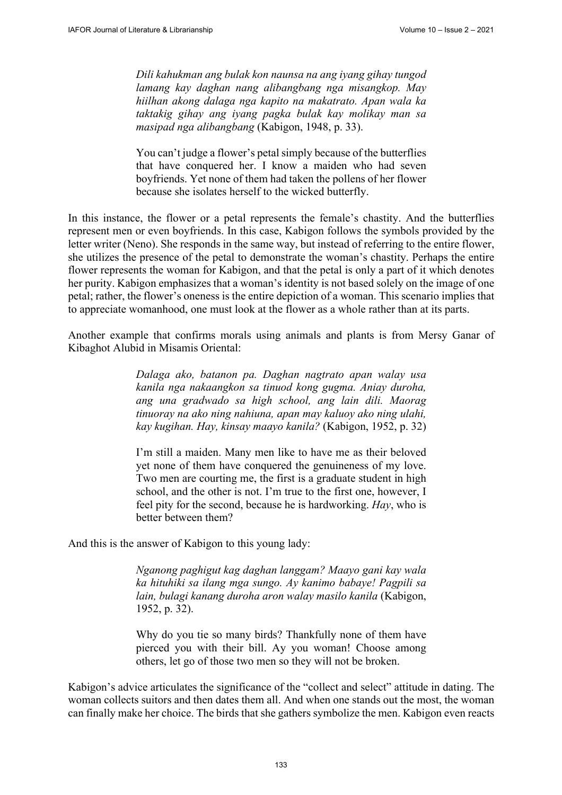*Dili kahukman ang bulak kon naunsa na ang iyang gihay tungod lamang kay daghan nang alibangbang nga misangkop. May hiilhan akong dalaga nga kapito na makatrato. Apan wala ka taktakig gihay ang iyang pagka bulak kay molikay man sa masipad nga alibangbang* (Kabigon, 1948, p. 33).

You can't judge a flower's petal simply because of the butterflies that have conquered her. I know a maiden who had seven boyfriends. Yet none of them had taken the pollens of her flower because she isolates herself to the wicked butterfly.

In this instance, the flower or a petal represents the female's chastity. And the butterflies represent men or even boyfriends. In this case, Kabigon follows the symbols provided by the letter writer (Neno). She responds in the same way, but instead of referring to the entire flower, she utilizes the presence of the petal to demonstrate the woman's chastity. Perhaps the entire flower represents the woman for Kabigon, and that the petal is only a part of it which denotes her purity. Kabigon emphasizes that a woman's identity is not based solely on the image of one petal; rather, the flower's oneness is the entire depiction of a woman. This scenario implies that to appreciate womanhood, one must look at the flower as a whole rather than at its parts.

Another example that confirms morals using animals and plants is from Mersy Ganar of Kibaghot Alubid in Misamis Oriental:

> *Dalaga ako, batanon pa. Daghan nagtrato apan walay usa kanila nga nakaangkon sa tinuod kong gugma. Aniay duroha, ang una gradwado sa high school, ang lain dili. Maorag tinuoray na ako ning nahiuna, apan may kaluoy ako ning ulahi, kay kugihan. Hay, kinsay maayo kanila?* (Kabigon, 1952, p. 32)

> I'm still a maiden. Many men like to have me as their beloved yet none of them have conquered the genuineness of my love. Two men are courting me, the first is a graduate student in high school, and the other is not. I'm true to the first one, however, I feel pity for the second, because he is hardworking. *Hay*, who is better between them?

And this is the answer of Kabigon to this young lady:

*Nganong paghigut kag daghan langgam? Maayo gani kay wala ka hituhiki sa ilang mga sungo. Ay kanimo babaye! Pagpili sa lain, bulagi kanang duroha aron walay masilo kanila* (Kabigon, 1952, p. 32).

Why do you tie so many birds? Thankfully none of them have pierced you with their bill. Ay you woman! Choose among others, let go of those two men so they will not be broken.

Kabigon's advice articulates the significance of the "collect and select" attitude in dating. The woman collects suitors and then dates them all. And when one stands out the most, the woman can finally make her choice. The birds that she gathers symbolize the men. Kabigon even reacts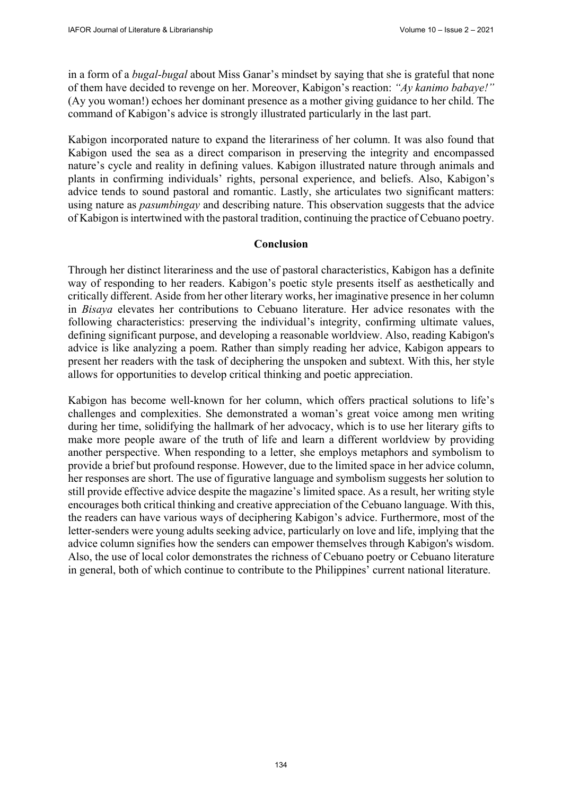in a form of a *bugal-bugal* about Miss Ganar's mindset by saying that she is grateful that none of them have decided to revenge on her. Moreover, Kabigon's reaction: *"Ay kanimo babaye!"* (Ay you woman!) echoes her dominant presence as a mother giving guidance to her child. The command of Kabigon's advice is strongly illustrated particularly in the last part.

Kabigon incorporated nature to expand the literariness of her column. It was also found that Kabigon used the sea as a direct comparison in preserving the integrity and encompassed nature's cycle and reality in defining values. Kabigon illustrated nature through animals and plants in confirming individuals' rights, personal experience, and beliefs. Also, Kabigon's advice tends to sound pastoral and romantic. Lastly, she articulates two significant matters: using nature as *pasumbingay* and describing nature. This observation suggests that the advice of Kabigon is intertwined with the pastoral tradition, continuing the practice of Cebuano poetry.

#### **Conclusion**

Through her distinct literariness and the use of pastoral characteristics, Kabigon has a definite way of responding to her readers. Kabigon's poetic style presents itself as aesthetically and critically different. Aside from her other literary works, her imaginative presence in her column in *Bisaya* elevates her contributions to Cebuano literature. Her advice resonates with the following characteristics: preserving the individual's integrity, confirming ultimate values, defining significant purpose, and developing a reasonable worldview. Also, reading Kabigon's advice is like analyzing a poem. Rather than simply reading her advice, Kabigon appears to present her readers with the task of deciphering the unspoken and subtext. With this, her style allows for opportunities to develop critical thinking and poetic appreciation.

Kabigon has become well-known for her column, which offers practical solutions to life's challenges and complexities. She demonstrated a woman's great voice among men writing during her time, solidifying the hallmark of her advocacy, which is to use her literary gifts to make more people aware of the truth of life and learn a different worldview by providing another perspective. When responding to a letter, she employs metaphors and symbolism to provide a brief but profound response. However, due to the limited space in her advice column, her responses are short. The use of figurative language and symbolism suggests her solution to still provide effective advice despite the magazine's limited space. As a result, her writing style encourages both critical thinking and creative appreciation of the Cebuano language. With this, the readers can have various ways of deciphering Kabigon's advice. Furthermore, most of the letter-senders were young adults seeking advice, particularly on love and life, implying that the advice column signifies how the senders can empower themselves through Kabigon's wisdom. Also, the use of local color demonstrates the richness of Cebuano poetry or Cebuano literature in general, both of which continue to contribute to the Philippines' current national literature.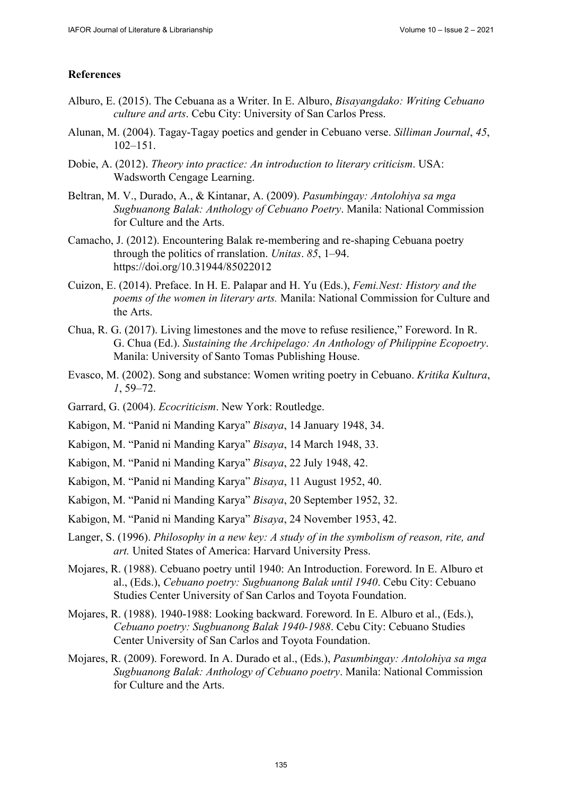## **References**

- Alburo, E. (2015). The Cebuana as a Writer. In E. Alburo, *Bisayangdako: Writing Cebuano culture and arts*. Cebu City: University of San Carlos Press.
- Alunan, M. (2004). Tagay-Tagay poetics and gender in Cebuano verse. *Silliman Journal*, *45*, 102–151.
- Dobie, A. (2012). *Theory into practice: An introduction to literary criticism*. USA: Wadsworth Cengage Learning.
- Beltran, M. V., Durado, A., & Kintanar, A. (2009). *Pasumbingay: Antolohiya sa mga Sugbuanong Balak: Anthology of Cebuano Poetry*. Manila: National Commission for Culture and the Arts.
- Camacho, J. (2012). Encountering Balak re-membering and re-shaping Cebuana poetry through the politics of rranslation. *Unitas*. *85*, 1–94. <https://doi.org/10.31944/85022012>
- Cuizon, E. (2014). Preface. In H. E. Palapar and H. Yu (Eds.), *Femi.Nest: History and the poems of the women in literary arts.* Manila: National Commission for Culture and the Arts.
- Chua, R. G. (2017). Living limestones and the move to refuse resilience," Foreword. In R. G. Chua (Ed.). *Sustaining the Archipelago: An Anthology of Philippine Ecopoetry*. Manila: University of Santo Tomas Publishing House.
- Evasco, M. (2002). Song and substance: Women writing poetry in Cebuano. *Kritika Kultura*, *1*, 59–72.
- Garrard, G. (2004). *Ecocriticism*. New York: Routledge.
- Kabigon, M. "Panid ni Manding Karya" *Bisaya*, 14 January 1948, 34.
- Kabigon, M. "Panid ni Manding Karya" *Bisaya*, 14 March 1948, 33.
- Kabigon, M. "Panid ni Manding Karya" *Bisaya*, 22 July 1948, 42.
- Kabigon, M. "Panid ni Manding Karya" *Bisaya*, 11 August 1952, 40.
- Kabigon, M. "Panid ni Manding Karya" *Bisaya*, 20 September 1952, 32.
- Kabigon, M. "Panid ni Manding Karya" *Bisaya*, 24 November 1953, 42.
- Langer, S. (1996). *Philosophy in a new key: A study of in the symbolism of reason, rite, and art.* United States of America: Harvard University Press.
- Mojares, R. (1988). Cebuano poetry until 1940: An Introduction. Foreword. In E. Alburo et al., (Eds.), *Cebuano poetry: Sugbuanong Balak until 1940*. Cebu City: Cebuano Studies Center University of San Carlos and Toyota Foundation.
- Mojares, R. (1988). 1940-1988: Looking backward. Foreword. In E. Alburo et al., (Eds.), *Cebuano poetry: Sugbuanong Balak 1940-1988*. Cebu City: Cebuano Studies Center University of San Carlos and Toyota Foundation.
- Mojares, R. (2009). Foreword. In A. Durado et al., (Eds.), *Pasumbingay: Antolohiya sa mga Sugbuanong Balak: Anthology of Cebuano poetry*. Manila: National Commission for Culture and the Arts.